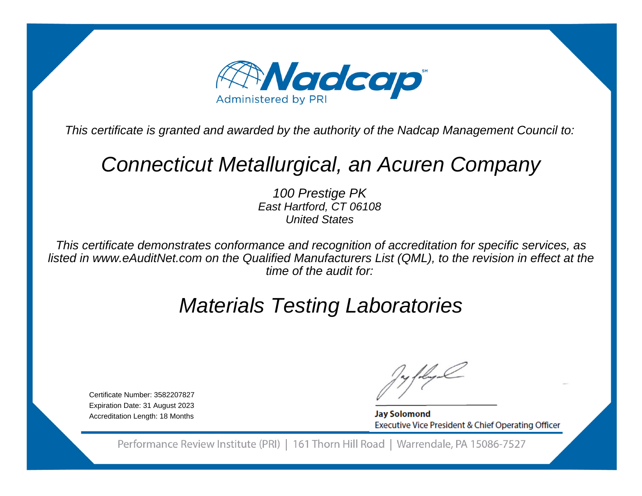

This certificate is granted and awarded by the authority of the Nadcap Management Council to:

# Connecticut Metallurgical, an Acuren Company

100 Prestige PK East Hartford, CT 06108United States

This certificate demonstrates conformance and recognition of accreditation for specific services, as listed in www.eAuditNet.com on the Qualified Manufacturers List (QML), to the revision in effect at thetime of the audit for:

# Materials Testing Laboratories

Certificate Number: 3582207827 Expiration Date: 31 August 2023Accreditation Length: 18 Months

**Jay Solomond** Executive Vice President & Chief Operating Officer

Performance Review Institute (PRI) | 161 Thorn Hill Road | Warrendale, PA 15086-7527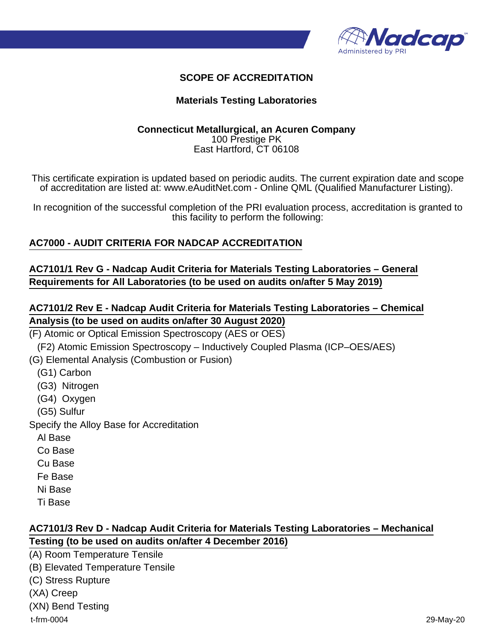

### **SCOPE OF ACCREDITATION**

#### **Materials Testing Laboratories**

#### **Connecticut Metallurgical, an Acuren Company** 100 Prestige PK East Hartford, CT 06108

This certificate expiration is updated based on periodic audits. The current expiration date and scope of accreditation are listed at: www.eAuditNet.com - Online QML (Qualified Manufacturer Listing).

In recognition of the successful completion of the PRI evaluation process, accreditation is granted to this facility to perform the following:

#### **AC7000 - AUDIT CRITERIA FOR NADCAP ACCREDITATION**

#### **AC7101/1 Rev G - Nadcap Audit Criteria for Materials Testing Laboratories – General Requirements for All Laboratories (to be used on audits on/after 5 May 2019)**

### **AC7101/2 Rev E - Nadcap Audit Criteria for Materials Testing Laboratories – Chemical Analysis (to be used on audits on/after 30 August 2020)**

- (F) Atomic or Optical Emission Spectroscopy (AES or OES)
- (F2) Atomic Emission Spectroscopy Inductively Coupled Plasma (ICP–OES/AES)
- (G) Elemental Analysis (Combustion or Fusion)
	- (G1) Carbon
	- (G3) Nitrogen
	- (G4) Oxygen
	- (G5) Sulfur

Specify the Alloy Base for Accreditation

- Al Base
- Co Base
- Cu Base
- Fe Base
- Ni Base
- Ti Base

#### **AC7101/3 Rev D - Nadcap Audit Criteria for Materials Testing Laboratories – Mechanical Testing (to be used on audits on/after 4 December 2016)**

(A) Room Temperature Tensile (B) Elevated Temperature Tensile (C) Stress Rupture (XA) Creep (XN) Bend Testing t-frm-0004 29-May-20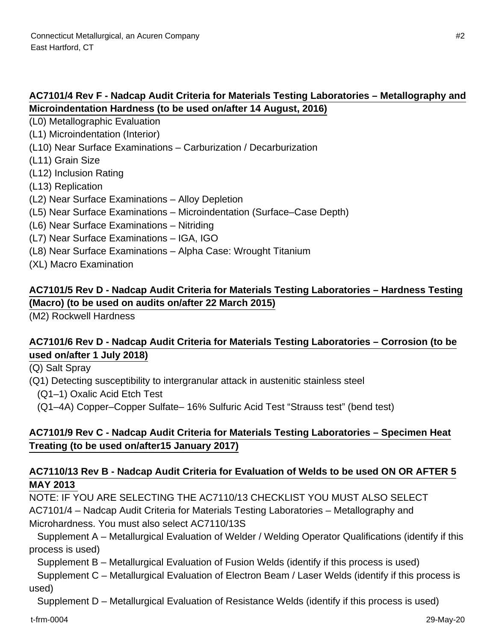# **AC7101/4 Rev F - Nadcap Audit Criteria for Materials Testing Laboratories – Metallography and Microindentation Hardness (to be used on/after 14 August, 2016)**

(L0) Metallographic Evaluation

- (L1) Microindentation (Interior)
- (L10) Near Surface Examinations Carburization / Decarburization
- (L11) Grain Size
- (L12) Inclusion Rating
- (L13) Replication
- (L2) Near Surface Examinations Alloy Depletion
- (L5) Near Surface Examinations Microindentation (Surface–Case Depth)
- (L6) Near Surface Examinations Nitriding
- (L7) Near Surface Examinations IGA, IGO
- (L8) Near Surface Examinations Alpha Case: Wrought Titanium
- (XL) Macro Examination

# **AC7101/5 Rev D - Nadcap Audit Criteria for Materials Testing Laboratories – Hardness Testing (Macro) (to be used on audits on/after 22 March 2015)**

(M2) Rockwell Hardness

#### **AC7101/6 Rev D - Nadcap Audit Criteria for Materials Testing Laboratories – Corrosion (to be used on/after 1 July 2018)**

(Q) Salt Spray

(Q1) Detecting susceptibility to intergranular attack in austenitic stainless steel

(Q1–1) Oxalic Acid Etch Test

(Q1–4A) Copper–Copper Sulfate– 16% Sulfuric Acid Test "Strauss test" (bend test)

# **AC7101/9 Rev C - Nadcap Audit Criteria for Materials Testing Laboratories – Specimen Heat Treating (to be used on/after15 January 2017)**

### **AC7110/13 Rev B - Nadcap Audit Criteria for Evaluation of Welds to be used ON OR AFTER 5 MAY 2013**

NOTE: IF YOU ARE SELECTING THE AC7110/13 CHECKLIST YOU MUST ALSO SELECT AC7101/4 – Nadcap Audit Criteria for Materials Testing Laboratories – Metallography and Microhardness. You must also select AC7110/13S

 Supplement A – Metallurgical Evaluation of Welder / Welding Operator Qualifications (identify if this process is used)

Supplement B – Metallurgical Evaluation of Fusion Welds (identify if this process is used)

 Supplement C – Metallurgical Evaluation of Electron Beam / Laser Welds (identify if this process is used)

Supplement D – Metallurgical Evaluation of Resistance Welds (identify if this process is used)